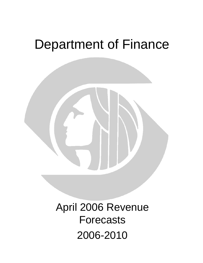# Department of Finance



April 2006 Revenue Forecasts 2006-2010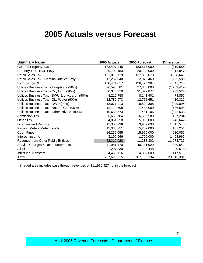### **2005 Actuals versus Forecast**

| <b>Summary Name</b>                             | 2005 Actuals | 2005 Forecast | <b>Difference</b> |  |
|-------------------------------------------------|--------------|---------------|-------------------|--|
| <b>General Property Tax</b>                     | 183,497,445  | 183,817,000   | (319, 555)        |  |
| Property Tax - EMS Levy                         | 20,109,153   | 20,122,000    | (12, 847)         |  |
| <b>Retail Sales Tax</b>                         | 131,010,719  | 127,802,078   | 3,208,641         |  |
| Retail Sales Tax - Criminal Justice Levy        | 12,282,040   | 12,076,460    | 205,580           |  |
| <b>B&amp;O Tax (90%)</b>                        | 130,471,017  | 126,423,304   | 4,047,713         |  |
| Utilities Business Tax - Telephone (90%)        | 26,590,581   | 27,850,000    | (1,259,419)       |  |
| Utilities Business Tax - City Light (90%)       | 30,340,350   | 31,072,877    | (732, 527)        |  |
| Utilities Business Tax - SWU & priv.garb. (90%) | 8,216,758    | 8,141,901     | 74,857            |  |
| Utilities Business Tax - City Water (90%)       | 12,782,973   | 12,772,651    | 10,322            |  |
| Utilities Business Tax - DWU (90%)              | 18,071,213   | 18,520,308    | (449, 095)        |  |
| Utilities Business Tax - Natural Gas (90%)      | 12,119,698   | 11,483,000    | 636,698           |  |
| Utilities Business Tax - Other Private (90%)    | 10,638,573   | 11,481,106    | (842, 533)        |  |
| <b>Admission Tax</b>                            | 6,663,784    | 6,556,580     | 107,204           |  |
| Other Tax                                       | 4,851,358    | 5,095,000     | (243, 642)        |  |
| Licenses and Permits                            | 15,303,238   | 13,987,690    | 1,315,548         |  |
| Parking Meters/Meter Hoods                      | 15,333,251   | 15,202,000    | 131,251           |  |
| <b>Court Fines</b>                              | 16,255,055   | 15,975,000    | 280,055           |  |
| Interest Income                                 | 3,199,966    | 1,795,000     | 1,404,966         |  |
| Revenue from Other Public Entities              | 22,312,028   | 11,238,302    | 11,073,726        |  |
| Service Charges & Reimbursements                | 41,981,470   | 40,131,929    | 1,849,541         |  |
| All Else                                        | 1,207,830    | 1,298,448     | (90, 618)         |  |
| <b>Interfund Transfers</b>                      | 4,455,116    | 4,337,600     | 117,516           |  |
| Total                                           | 727,693,615  | 707,180,234   | 20,513,381        |  |

\* Shaded area includes pass through revenues of \$11,916,927 not in the forecast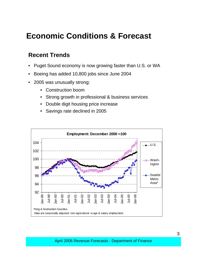### **Economic Conditions & Forecast**

#### **Recent Trends**

- Puget Sound economy is now growing faster than U.S. or WA
- Boeing has added 10,800 jobs since June 2004
- 2005 was unusually strong:
	- Construction boom
	- Strong growth in professional & business services
	- Double digit housing price increase
	- Savings rate declined in 2005

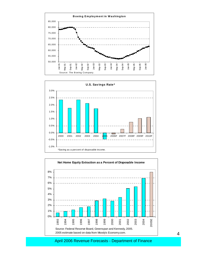



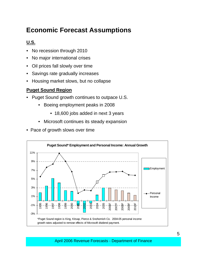#### **Economic Forecast Assumptions**

#### **U.S.**

- No recession through 2010
- No major international crises
- Oil prices fall slowly over time
- Savings rate gradually increases
- Housing market slows, but no collapse

#### **Puget Sound Region**

- Puget Sound growth continues to outpace U.S.
	- Boeing employment peaks in 2008
		- 18,600 jobs added in next 3 years
	- Microsoft continues its steady expansion
- Pace of growth slows over time

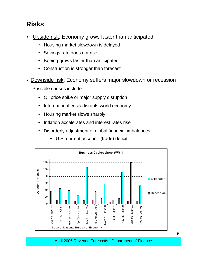#### **Risks**

- Upside risk: Economy grows faster than anticipated
	- Housing market slowdown is delayed
	- Savings rate does not rise
	- Boeing grows faster than anticipated
	- Construction is stronger than forecast
- Downside risk: Economy suffers major slowdown or recession Possible causes include:
	- Oil price spike or major supply disruption
	- International crisis disrupts world economy
	- Housing market slows sharply
	- Inflation accelerates and interest rates rise
	- Disorderly adjustment of global financial imbalances
		- U.S. current account (trade) deficit

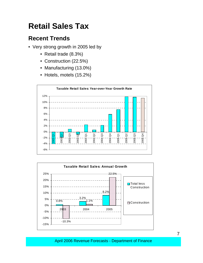### **Retail Sales Tax**

#### **Recent Trends**

- Very strong growth in 2005 led by
	- Retail trade (8.3%)
	- Construction (22.5%)
	- Manufacturing (13.0%)
	- Hotels, motels (15.2%)



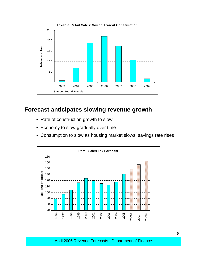

#### **Forecast anticipates slowing revenue growth**

- Rate of construction growth to slow
- Economy to slow gradually over time
- Consumption to slow as housing market slows, savings rate rises

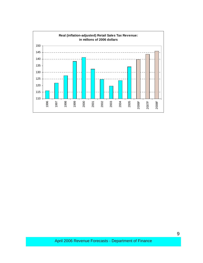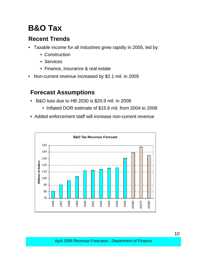# **B&O Tax**

#### **Recent Trends**

- Taxable income for all industries grew rapidly in 2005, led by:
	- Construction
	- Services
	- Finance, insurance & real estate
- Non-current revenue increased by \$2.1 mil. in 2005

#### **Forecast Assumptions**

- B&O loss due to HB 2030 is \$20.9 mil. in 2008
	- Inflated DOR estimate of \$15.6 mil. from 2004 to 2008
- Added enforcement staff will increase non-current revenue

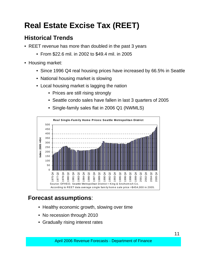# **Real Estate Excise Tax (REET)**

#### **Historical Trends**

- REET revenue has more than doubled in the past 3 years
	- From \$22.6 mil. in 2002 to \$49.4 mil. in 2005
- Housing market:
	- Since 1996 Q4 real housing prices have increased by 66.5% in Seattle
	- National housing market is slowing
	- Local housing market is lagging the nation
		- Prices are still rising strongly
		- Seattle condo sales have fallen in last 3 quarters of 2005



• Single-family sales flat in 2006 Q1 (NWMLS)

#### **Forecast assumptions**:

- Healthy economic growth, slowing over time
- No recession through 2010
- Gradually rising interest rates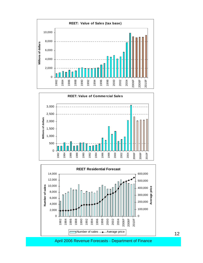





April 2006 Revenue Forecasts - Department of Finance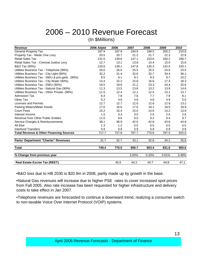# 2006 – 2010 Revenue Forecast

(In \$Millions)

| <b>Revenue</b>                                     | 2006 Adptd | 2006  | 2007  | 2008  | 2009  | 2010  |
|----------------------------------------------------|------------|-------|-------|-------|-------|-------|
| <b>General Property Tax</b>                        | 187.9      | 187.9 | 194.9 | 199.5 | 205.2 | 210.8 |
| Property Tax - Medic One Levy                      | 20.5       | 20.7  | 21.2  | 21.7  | 22.3  | 22.8  |
| <b>Retail Sales Tax</b>                            | 131.5      | 139.6 | 147.1 | 153.6 | 160.2 | 166.7 |
| Retail Sales Tax - Criminal Justice Levy           | 12.7       | 13.1  | 13.8  | 14.4  | 15.0  | 15.6  |
| B&O Tax (90%)                                      | 133.6      | 139.1 | 147.8 | 135.3 | 142.5 | 150.1 |
| Utilities Business Tax - Telephone (90%)           | 26.0       | 26.0  | 25.5  | 25.0  | 24.0  | 23.0  |
| Utilities Business Tax - City Light (90%)          | 32.2       | 31.4  | 32.6  | 32.7  | 34.4  | 36.1  |
| Utilities Business Tax - SWU & priv.garb. (90%)    | 8.5        | 9.1   | 9.1   | 9.3   | 9.7   | 10.2  |
| Utilities Business Tax - City Water (90%)          | 13.4       | 15.2  | 15.8  | 16.6  | 17.4  | 18.3  |
| Utilities Business Tax - DWU (90%)                 | 19.5       | 19.6  | 21.2  | 23.3  | 24.4  | 25.6  |
| Utilities Business Tax - Natural Gas (90%)         | 11.3       | 13.5  | 13.8  | 13.2  | 13.9  | 14.6  |
| Utilities Business Tax - Other Private (90%)       | 11.5       | 12.4  | 12.1  | 12.5  | 13.1  | 13.7  |
| <b>Admission Tax</b>                               | 6.4        | 7.8   | 7.6   | 7.7   | 7.9   | 8.1   |
| Other Tax                                          | 5.2        | 4.8   | 4.8   | 4.8   | 4.9   | 5.0   |
| Licenses and Permits                               | 12.7       | 12.7  | 12.6  | 12.6  | 12.9  | 13.2  |
| Parking Meters/Meter Hoods                         | 17.0       | 16.6  | 17.6  | 18.1  | 18.5  | 18.9  |
| <b>Court Fines</b>                                 | 15.2       | 15.4  | 15.0  | 14.6  | 14.2  | 13.8  |
| Interest Income                                    | 1.5        | 3.3   | 3.0   | 2.5   | 2.5   | 2.6   |
| Revenue from Other Public Entities                 | 11.0       | 8.6   | 9.0   | 9.2   | 9.4   | 9.7   |
| Service Charges & Reimbursements                   | 38.1       | 38.9  | 42.0  | 42.8  | 43.8  | 44.8  |
| All Else                                           | 1.3        | 1.2   | 0.5   | 0.5   | 0.5   | 0.5   |
| Interfund Transfers                                | 0.9        | 0.9   | 0.9   | 0.9   | 0.9   | 0.9   |
| <b>Total Revenue &amp; Other Financing Sources</b> | 717.7      | 737.8 | 767.7 | 770.6 | 797.5 | 825.0 |
| <b>Parks' Department "Charter" Revenues</b>        | 31.7       | 32.7  | 33.1  | 32.8  | 34.2  | 35.6  |
| <b>Total</b>                                       | 749.4      | 770.5 | 800.7 | 803.4 | 831.6 | 860.6 |
| % Change from previous year                        |            |       | 3.93% | 0.33% | 3.51% | 3.48% |
| <b>Real Estate Excise Tax (REET)</b>               |            | 45.6  | 44.2  | 44.7  | 44.8  | 47.1  |

•B&O loss due to HB 2030 is \$20.9m in 2008, partly made up by growth in the base.

•Natural Gas revenues will increase due to higher PSE rates to cover increased spot prices from Fall 2005. Also rate increase has been requested for higher infrastructure and delivery costs to take effect in Jan 2007.

•Telephone revenues are forecasted to continue a downward trend, realizing a consumer switch to non-taxable Voice Over Internet Protocol (VOIP) systems.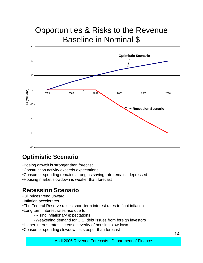# Opportunities & Risks to the Revenue Baseline in Nominal \$



#### **Optimistic Scenario**

- •Boeing growth is stronger than forecast
- •Construction activity exceeds expectations
- •Consumer spending remains strong as saving rate remains depressed
- •Housing market slowdown is weaker than forecast

#### **Recession Scenario**

- •Oil prices trend upward
- •Inflation accelerates
- •The Federal Reserve raises short-term interest rates to fight inflation
- •Long term interest rates rise due to:
	- •Rising inflationary expectations
	- •Weakening demand for U.S. debt issues from foreign investors
- •Higher interest rates increase severity of housing slowdown
- •Consumer spending slowdown is steeper than forecast